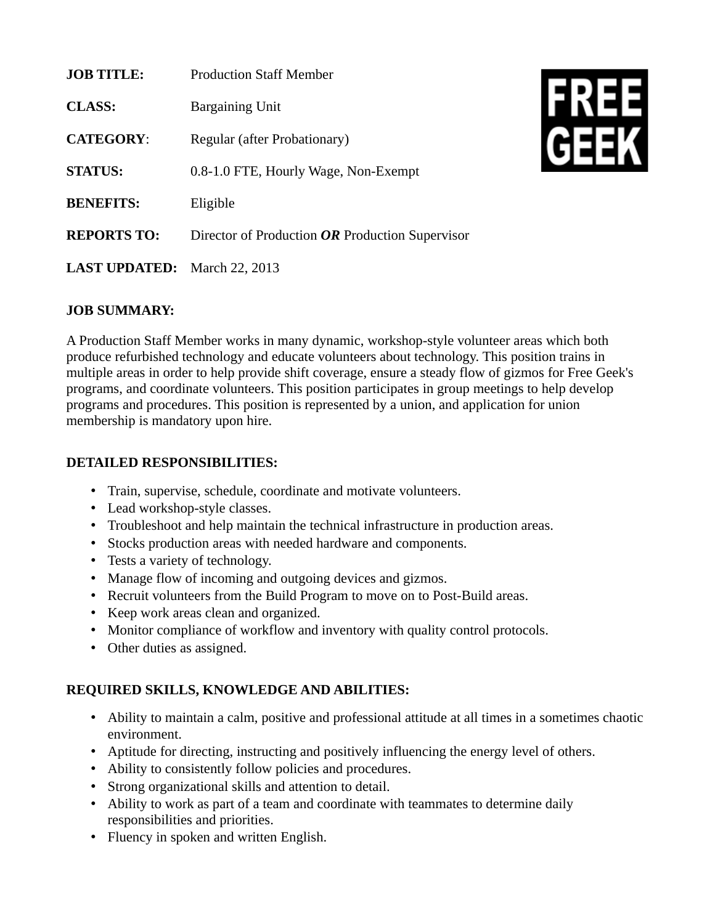| <b>JOB TITLE:</b>                   | <b>Production Staff Member</b>                  |
|-------------------------------------|-------------------------------------------------|
| CLASS:                              | <b>Bargaining Unit</b>                          |
| <b>CATEGORY:</b>                    | Regular (after Probationary)                    |
| <b>STATUS:</b>                      | 0.8-1.0 FTE, Hourly Wage, Non-Exempt            |
| <b>BENEFITS:</b>                    | Eligible                                        |
| <b>REPORTS TO:</b>                  | Director of Production OR Production Supervisor |
| <b>LAST UPDATED:</b> March 22, 2013 |                                                 |



## **JOB SUMMARY:**

A Production Staff Member works in many dynamic, workshop-style volunteer areas which both produce refurbished technology and educate volunteers about technology. This position trains in multiple areas in order to help provide shift coverage, ensure a steady flow of gizmos for Free Geek's programs, and coordinate volunteers. This position participates in group meetings to help develop programs and procedures. This position is represented by a union, and application for union membership is mandatory upon hire.

## **DETAILED RESPONSIBILITIES:**

- Train, supervise, schedule, coordinate and motivate volunteers.
- Lead workshop-style classes.
- Troubleshoot and help maintain the technical infrastructure in production areas.
- Stocks production areas with needed hardware and components.
- Tests a variety of technology.
- Manage flow of incoming and outgoing devices and gizmos.
- Recruit volunteers from the Build Program to move on to Post-Build areas.
- Keep work areas clean and organized.
- Monitor compliance of workflow and inventory with quality control protocols.
- Other duties as assigned.

## **REQUIRED SKILLS, KNOWLEDGE AND ABILITIES:**

- Ability to maintain a calm, positive and professional attitude at all times in a sometimes chaotic environment.
- Aptitude for directing, instructing and positively influencing the energy level of others.
- Ability to consistently follow policies and procedures.
- Strong organizational skills and attention to detail.
- Ability to work as part of a team and coordinate with teammates to determine daily responsibilities and priorities.
- Fluency in spoken and written English.